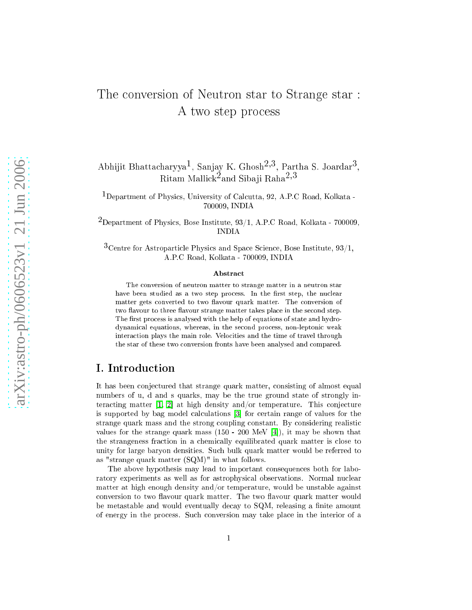# The onversion of Neutron star to Strange star : A two step pro
ess

Abhijit Bhattacharyya<sup>1</sup>, Sanjay K. Ghosh<sup>2,3</sup>, Partha S. Joardar<sup>3</sup>,<br>Ritam Mallick<sup>2</sup>and Sibaji Raha<sup>2,3</sup>

<sup>1</sup>Department of Physics, University of Calcutta, 92, A.P.C Road, Kolkata -700009, INDIA

 $^2$ Department of Physics, Bose Institute, 93/1, A.P.C Road, Kolkata - 700009,

 $3$ Centre for Astroparticle Physics and Space Science, Bose Institute, 93/1, A.P.C Road, Kolkata - 700009, INDIA

#### Abstra
t

The onversion of neutron matter to strange matter in <sup>a</sup> neutron star have been studied as a two step process. In the first step, the nuclear matter gets converted to two flavour quark matter. The conversion of two flavour to three flavour strange matter takes place in the second step. The first process is analysed with the help of equations of state and hydrodynamical equations, whereas, in the second process, non-leptonic weak interaction plays the main role. Velocities and the time of travel through the star of these two onversion fronts have been analysed and ompared.

## I. Introdu
tion

It has been conjectured that strange quark matter, consisting of almost equal numbers of u, d and s quarks, may be the true ground state of strongly interacting matter  $[1, 2]$  $[1, 2]$  at high density and/or temperature. This conjecture is supported by bag model calculations [3] for certain range of values for the strange quark mass and the strong coupling constant. By considering realistic values for the strange quark mass  $(150 - 200 \text{ MeV } [4])$ , it may be shown that the strangeness fraction in a chemically equilibrated quark matter is close to unity for large baryon densities. Su
h bulk quark matter would be referred to as "strange quark matter (SQM)" in what follows.

The above hypothesis may lead to important onsequen
es both for laboratory experiments as well as for astrophysical observations. Normal nuclear matter at high enough density and/or temperature, would be unstable against conversion to two flavour quark matter. The two flavour quark matter would be metastable and would eventually decay to SQM, releasing a finite amount of energy in the pro
ess. Su
h onversion may take pla
e in the interior of a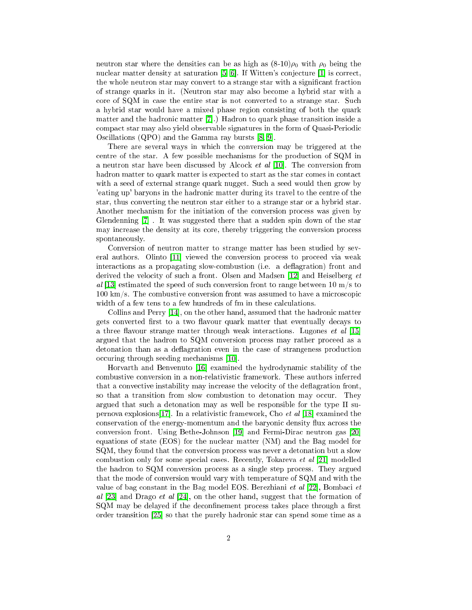neutron star where the densities can be as high as  $(8-10)\rho_0$  with  $\rho_0$  being the nuclear matter density at saturation  $[5, 6]$  $[5, 6]$ . If Witten's conjecture  $[1]$  is correct, the whole neutron star may convert to a strange star with a significant fraction of strange quarks in it. (Neutron star may also be
ome a hybrid star with a core of SQM in case the entire star is not converted to a strange star. Such a hybrid star would have a mixed phase region onsisting of both the quark matter and the hadronic matter  $[7]$ .) Hadron to quark phase transition inside a ompa
t star may also yield observable signatures in the form of Quasi-Periodi Oscillations  $(QPO)$  and the Gamma ray bursts  $[8, 9]$  $[8, 9]$ .

There are several ways in whi
h the onversion may be triggered at the centre of the star. A few possible mechanisms for the production of SQM in a neutron star have been discussed by Alcock  $et$  al [10]. The conversion from hadron matter to quark matter is expected to start as the star comes in contact with a seed of external strange quark nugget. Such a seed would then grow by 'eating up' baryons in the hadronic matter during its travel to the centre of the star, thus onverting the neutron star either to a strange star or a hybrid star. Another me
hanism for the initiation of the onversion pro
ess was given by Glendenning  $[7]$  . It was suggested there that a sudden spin down of the star may in
rease the density at its ore, thereby triggering the onversion pro
ess spontaneously.

Conversion of neutron matter to strange matter has been studied by several authors. Olinto [11] viewed the conversion process to proceed via weak interactions as a propagating slow-combustion (i.e. a deflagration) front and derived the velocity of such a front. Olsen and Madsen [12] and Heiselberg et al [13] estimated the speed of such conversion front to range between 10  $\text{m/s}$  to  $100 \text{ km/s}$ . The combustive conversion front was assumed to have a microscopic width of a few tens to a few hundreds of fm in these calculations.

Collins and Perry  $[14]$ , on the other hand, assumed that the hadronic matter gets converted first to a two flavour quark matter that eventually decays to a three flavour strange matter through weak interactions. Lugones *et al*  $[15]$ argued that the hadron to SQM onversion pro
ess may rather pro
eed as a detonation than as a deflagration even in the case of strangeness production occuring through seeding mechanisms [10].

Horvarth and Benvenuto [16] examined the hydrodynamic stability of the ombustive onversion in a non-relativisti framework. These authors inferred that a convective instability may increase the velocity of the deflagration front, so that a transition from slow combustion to detonation may occur. They argued that su
h a detonation may as well be responsible for the type II supernova explosions [17]. In a relativistic framework, Cho et al [18] examined the conservation of the energy-momentum and the baryonic density flux across the conversion front. Using Bethe-Johnson [19] and Fermi-Dirac neutron gas [20] equations of state (EOS) for the nu
lear matter (NM) and the Bag model for SQM, they found that the onversion pro
ess was never a detonation but a slow combustion only for some special cases. Recently, Tokareva *et al* [21] modelled the hadron to SQM conversion process as a single step process. They argued that the mode of onversion would vary with temperature of SQM and with the value of bag constant in the Bag model EOS. Berezhiani et al  $|22|$ , Bombaci et al [23] and Drago et al [24], on the other hand, suggest that the formation of SQM may be delayed if the deconfinement process takes place through a first order transition  $[25]$  so that the purely hadronic star can spend some time as a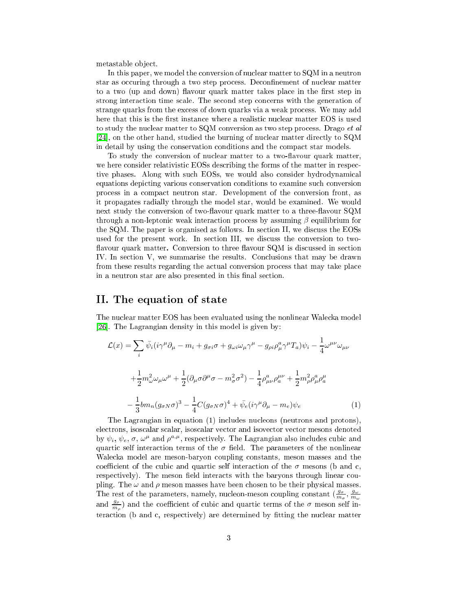metastable ob je
t.

In this paper, we model the conversion of nuclear matter to SQM in a neutron star as occuring through a two step process. Deconfinement of nuclear matter to a two (up and down) flavour quark matter takes place in the first step in strong interaction time scale. The second step concerns with the generation of strange quarks from the excess of down quarks via a weak process. We may add here that this is the first instance where a realistic nuclear matter EOS is used to study the nuclear matter to  $\text{SQM}$  conversion as two step process. Drago *et al* [24], on the other hand, studied the burning of nuclear matter directly to  $\text{SQM}$ in detail by using the onservation onditions and the ompa
t star models.

To study the conversion of nuclear matter to a two-flavour quark matter, we here consider relativistic EOSs describing the forms of the matter in respective phases. Along with such EOSs, we would also consider hydrodynamical equations depi
ting various onservation onditions to examine su
h onversion pro
ess in a ompa
t neutron star. Development of the onversion front, as it propagates radially through the model star, would be examined. We would next study the conversion of two-flavour quark matter to a three-flavour SQM through a non-leptonic weak interaction process by assuming  $\beta$  equilibrium for the SQM. The paper is organised as follows. In section II, we discuss the EOSs used for the present work. In section III, we discuss the conversion to twoflavour quark matter. Conversion to three flavour SQM is discussed in section IV. In section V, we summarise the results. Conclusions that may be drawn from these results regarding the actual conversion process that may take place in a neutron star are also presented in this final section.

#### II. The equation of state

The nuclear matter EOS has been evaluated using the nonlinear Walecka model [26]. The Lagrangian density in this model is given by:

$$
\mathcal{L}(x) = \sum_{i} \bar{\psi}_{i} (i\gamma^{\mu} \partial_{\mu} - m_{i} + g_{\sigma i} \sigma + g_{\omega i} \omega_{\mu} \gamma^{\mu} - g_{\rho i} \rho^a_{\mu} \gamma^{\mu} T_{a}) \psi_{i} - \frac{1}{4} \omega^{\mu \nu} \omega_{\mu \nu}
$$

$$
+ \frac{1}{2} m_{\omega}^{2} \omega_{\mu} \omega^{\mu} + \frac{1}{2} (\partial_{\mu} \sigma \partial^{\mu} \sigma - m_{\sigma}^{2} \sigma^{2}) - \frac{1}{4} \rho_{\mu \nu}^{a} \rho_{a}^{\mu \nu} + \frac{1}{2} m_{\rho}^{2} \rho_{\mu}^{a} \rho_{a}^{\mu}
$$

$$
- \frac{1}{3} b m_{n} (g_{\sigma N} \sigma)^{3} - \frac{1}{4} C (g_{\sigma N} \sigma)^{4} + \bar{\psi}_{e} (i \gamma^{\mu} \partial_{\mu} - m_{e}) \psi_{e}
$$
(1)

The Lagrangian in equation (1) in
ludes nu
leons (neutrons and protons), ele
trons, isos
alar s
alar, isos
alar ve
tor and isove
tor ve
tor mesons denoted by  $\psi_i$ ,  $\psi_e$ ,  $\sigma$ ,  $\omega^{\mu}$  and  $\rho^{a,\mu}$ , respectively. The Lagrangian also includes cubic and quartic self interaction terms of the  $\sigma$  field. The parameters of the nonlinear Walecka model are meson-baryon coupling constants, meson masses and the coefficient of the cubic and quartic self interaction of the  $\sigma$  mesons (b and c, respectively). The meson field interacts with the baryons through linear coupling. The  $\omega$  and  $\rho$  meson masses have been chosen to be their physical masses. The rest of the parameters, namely, nucleon-meson coupling constant  $(\frac{g_{\sigma}}{m_{\sigma}}, \frac{g_{\omega}}{m_{\omega}})$ and  $\frac{g_{\rho}}{m_{\rho}}$  and the coefficient of cubic and quartic terms of the  $\sigma$  meson self interaction (b and c, respectively) are determined by fitting the nuclear matter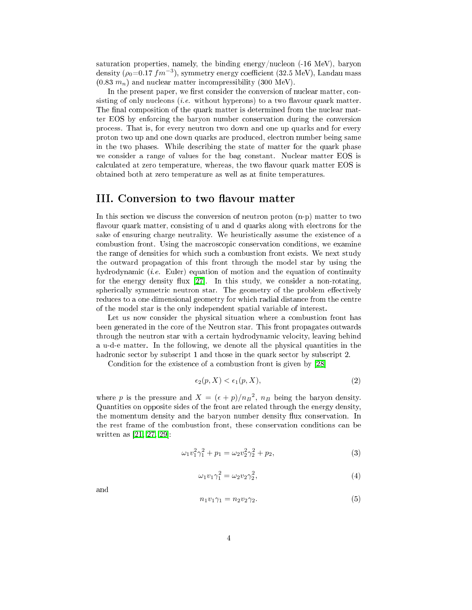saturation properties, namely, the binding energy/nucleon (-16 MeV), baryon density  $(\rho_0=0.17~fm^{-3})$ , symmetry energy coefficient (32.5 MeV), Landau mass  $(0.83 \, m_n)$  and nuclear matter incompressibility (300 MeV).

In the present paper, we first consider the conversion of nuclear matter, consisting of only nucleons *(i.e.* without hyperons) to a two flavour quark matter. The final composition of the quark matter is determined from the nuclear matter EOS by enfor
ing the baryon number onservation during the onversion pro
ess. That is, for every neutron two down and one up quarks and for every proton two up and one down quarks are produ
ed, ele
tron number being same in the two phases. While des
ribing the state of matter for the quark phase we consider a range of values for the bag constant. Nuclear matter EOS is calculated at zero temperature, whereas, the two flavour quark matter EOS is obtained both at zero temperature as well as at finite temperatures.

### III. Conversion to two flavour matter

In this section we discuss the conversion of neutron proton (n-p) matter to two flavour quark matter, consisting of u and d quarks along with electrons for the sake of ensuring charge neutrality. We heuristically assume the existence of a ombustion front. Using the ma
ros
opi onservation onditions, we examine the range of densities for which such a combustion front exists. We next study the outward propagation of this front through the model star by using the hydrodynamic *(i.e.* Euler) equation of motion and the equation of continuity for the energy density flux  $[27]$ . In this study, we consider a non-rotating, spherically symmetric neutron star. The geometry of the problem effectively redu
es to a one dimensional geometry for whi
h radial distan
e from the entre of the model star is the only independent spatial variable of interest.

Let us now consider the physical situation where a combustion front has been generated in the ore of the Neutron star. This front propagates outwards through the neutron star with a certain hydrodynamic velocity, leaving behind a u-d-e matter. In the following, we denote all the physical quantities in the hadronic sector by subscript 1 and those in the quark sector by subscript 2.

<span id="page-3-0"></span>Condition for the existence of a combustion front is given by [28]

$$
\epsilon_2(p, X) < \epsilon_1(p, X),\tag{2}
$$

<span id="page-3-2"></span>where p is the pressure and  $X = (\epsilon + p)/n_B^2$ ,  $n_B$  being the baryon density. Quantities on opposite sides of the front are related through the energy density, the momentum density and the baryon number density flux conservation. In the rest frame of the ombustion front, these onservation onditions an be written as  $[21, 27, 29]$  $[21, 27, 29]$  $[21, 27, 29]$  $[21, 27, 29]$ :

$$
\omega_1 v_1^2 \gamma_1^2 + p_1 = \omega_2 v_2^2 \gamma_2^2 + p_2,\tag{3}
$$

$$
\omega_1 v_1 \gamma_1^2 = \omega_2 v_2 \gamma_2^2,\tag{4}
$$

<span id="page-3-1"></span>and

$$
n_1v_1\gamma_1 = n_2v_2\gamma_2.\tag{5}
$$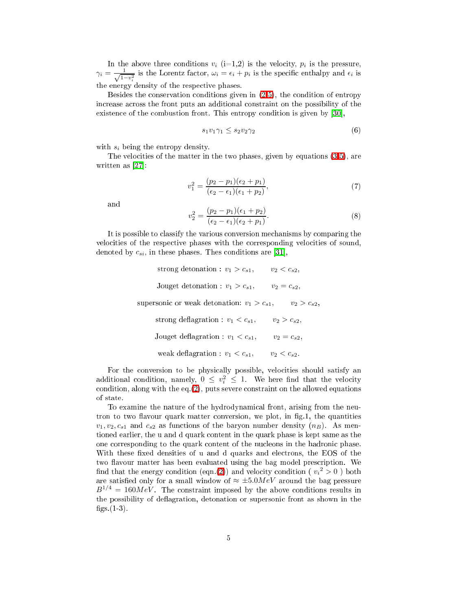In the above three conditions  $v_i$  (i=1,2) is the velocity,  $p_i$  is the pressure,  $\gamma_i = \frac{1}{\sqrt{1-v_i^2}}$  is the Lorentz factor,  $\omega_i = \epsilon_i + p_i$  is the specific enthalpy and  $\epsilon_i$  is the energy density of the respe
tive phases.

Besides the onservation onditions given in [\(2-](#page-3-0)[5\)](#page-3-1), the ondition of entropy in
rease a
ross the front puts an additional onstraint on the possibility of the existence of the combustion front. This entropy condition is given by  $[30]$ ,

$$
s_1v_1\gamma_1 \leq s_2v_2\gamma_2\tag{6}
$$

with  $s_i$  being the entropy density.

The velocities of the matter in the two phases, given by equations  $(3-5)$  $(3-5)$ , are written as  $[27]$ :

$$
v_1^2 = \frac{(p_2 - p_1)(\epsilon_2 + p_1)}{(\epsilon_2 - \epsilon_1)(\epsilon_1 + p_2)},
$$
\n(7)

<span id="page-4-1"></span><span id="page-4-0"></span>and

$$
v_2^2 = \frac{(p_2 - p_1)(\epsilon_1 + p_2)}{(\epsilon_2 - \epsilon_1)(\epsilon_2 + p_1)}.
$$
\n(8)

It is possible to lassify the various onversion me
hanisms by omparing the velo
ities of the respe
tive phases with the orresponding velo
ities of sound, denoted by  $c_{si}$ , in these phases. Thes conditions are [31],

> strong detonation :  $v_1 > c_{s1}$ ,  $v_2 < c_{s2}$ , Jouget detonation :  $v_1 > c_{s1}$ ,  $v_2 = c_{s2}$ , supersonic or weak detonation:  $v_1 > c_{s1}$ ,  $v_2 > c_{s2}$ , strong deflagration :  $v_1 < c_{s1}$ ,  $v_2 > c_{s2}$ , Jouget deflagration :  $v_1 < c_{s1}$ ,  $v_2 = c_{s2}$ , weak deflagration :  $v_1 < c_{s1}$ ,  $v_2 < c_{s2}$ .

For the conversion to be physically possible, velocities should satisfy an additional condition, namely,  $0 \leq v_i^2 \leq 1$ . We here find that the velocity ondition, along with the eq.[\(2\)](#page-3-0), puts severe onstraint on the allowed equations of state.

To examine the nature of the hydrodynami
al front, arising from the neutron to two flavour quark matter conversion, we plot, in fig.1, the quantities  $v_1, v_2, c_{s1}$  and  $c_{s2}$  as functions of the baryon number density  $(n_B)$ . As mentioned earlier, the u and d quark ontent in the quark phase is kept same as the one corresponding to the quark content of the nucleons in the hadronic phase. With these fixed densities of u and d quarks and electrons, the EOS of the two flavour matter has been evaluated using the bag model prescription. We find that the energy condition (eqn.[\(2\)](#page-3-0)) and velocity condition (  $v_i{}^2 > 0$  ) both are satisfied only for a small window of  $\approx \pm 5.0MeV$  around the bag pressure  $B^{1/4} = 160 MeV$ . The constraint imposed by the above conditions results in the possibility of deflagration, detonation or supersonic front as shown in the figs. $(1-3)$ .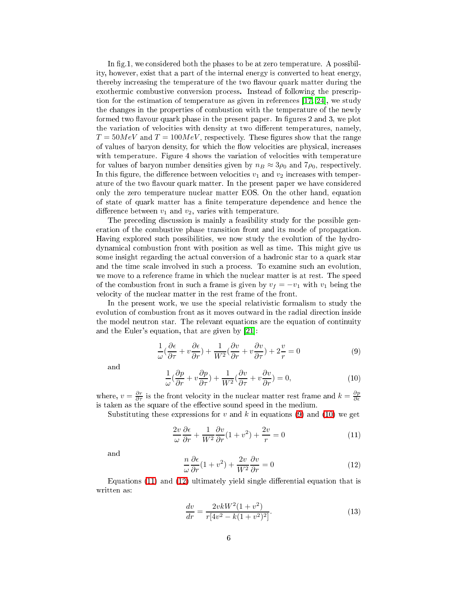In fig.1, we considered both the phases to be at zero temperature. A possibility, however, exist that a part of the internal energy is onverted to heat energy, thereby increasing the temperature of the two flavour quark matter during the exothermic combustive conversion process. Instead of following the prescription for the estimation of temperature as given in references  $[17, 24]$  $[17, 24]$ , we study the hanges in the properties of ombustion with the temperature of the newly formed two flavour quark phase in the present paper. In figures  $2$  and  $3$ , we plot the variation of velocities with density at two different temperatures, namely,  $T = 50MeV$  and  $T = 100MeV$ , respectively. These figures show that the range of values of baryon density, for which the flow velocities are physical, increases with temperature. Figure 4 shows the variation of velocities with temperature for values of baryon number densities given by  $n_B \approx 3\rho_0$  and  $7\rho_0$ , respectively. In this figure, the difference between velocities  $v_1$  and  $v_2$  increases with temperature of the two flavour quark matter. In the present paper we have considered only the zero temperature nu
lear matter EOS. On the other hand, equation of state of quark matter has a finite temperature dependence and hence the difference between  $v_1$  and  $v_2$ , varies with temperature.

The preceding discussion is mainly a feasibility study for the possible generation of the ombustive phase transition front and its mode of propagation. Having explored such possibilities, we now study the evolution of the hydrodynami
al ombustion front with position as well as time. This might give us some insight regarding the actual conversion of a hadronic star to a quark star and the time s
ale involved in su
h a pro
ess. To examine su
h an evolution, we move to a reference frame in which the nuclear matter is at rest. The speed of the combustion front in such a frame is given by  $v_f = -v_1$  with  $v_1$  being the velo
ity of the nu
lear matter in the rest frame of the front.

In the present work, we use the special relativistic formalism to study the evolution of combustion front as it moves outward in the radial direction inside the model neutron star. The relevant equations are the equation of ontinuity and the Euler's equation, that are given by  $[21]$ :

$$
\frac{1}{\omega}(\frac{\partial \epsilon}{\partial \tau} + v \frac{\partial \epsilon}{\partial r}) + \frac{1}{W^2}(\frac{\partial v}{\partial r} + v \frac{\partial v}{\partial \tau}) + 2\frac{v}{r} = 0
$$
\n(9)

<span id="page-5-1"></span><span id="page-5-0"></span>and

$$
\frac{1}{\omega}(\frac{\partial p}{\partial r} + v\frac{\partial p}{\partial \tau}) + \frac{1}{W^2}(\frac{\partial v}{\partial \tau} + v\frac{\partial v}{\partial r}) = 0,
$$
\n(10)

where,  $v = \frac{\partial r}{\partial \tau}$  is the front velocity in the nuclear matter rest frame and  $k = \frac{\partial p}{\partial \epsilon}$ is taken as the square of the effective sound speed in the medium.

<span id="page-5-2"></span>Substituting these expressions for v and k in equations [\(9\)](#page-5-0) and [\(10\)](#page-5-1) we get

$$
\frac{2v}{\omega} \frac{\partial \epsilon}{\partial r} + \frac{1}{W^2} \frac{\partial v}{\partial r} (1 + v^2) + \frac{2v}{r} = 0 \tag{11}
$$

<span id="page-5-3"></span>and

$$
\frac{n}{\omega} \frac{\partial \epsilon}{\partial r} (1 + v^2) + \frac{2v}{W^2} \frac{\partial v}{\partial r} = 0 \tag{12}
$$

<span id="page-5-4"></span>Equations  $(11)$  and  $(12)$  ultimately yield single differential equation that is written as:

$$
\frac{dv}{dr} = \frac{2vkW^2(1+v^2)}{r[4v^2-k(1+v^2)^2]}.
$$
\n(13)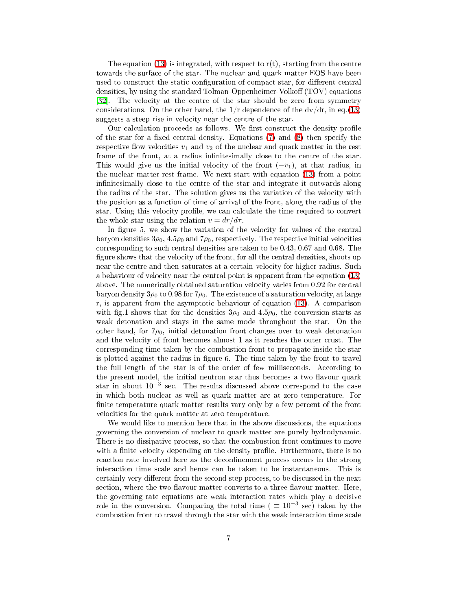The equation [\(13\)](#page-5-4) is integrated, with respect to  $r(t)$ , starting from the centre towards the surfa
e of the star. The nu
lear and quark matter EOS have been used to construct the static configuration of compact star, for different central densities, by using the standard Tolman-Oppenheimer-Volkoff  $(TOV)$  equations [32]. The velocity at the centre of the star should be zero from symmetry considerations. On the other hand, the  $1/r$  dependence of the  $dv/dr$ , in eq.[\(13\)](#page-5-4) suggests a steep rise in velocity near the centre of the star.

Our calculation proceeds as follows. We first construct the density profile of the star for a fixed central density. Equations  $(7)$  and  $(8)$  then specify the respective flow velocities  $v_1$  and  $v_2$  of the nuclear and quark matter in the rest frame of the front, at a radius infinitesimally close to the centre of the star. This would give us the initial velocity of the front  $(-v_1)$ , at that radius, in the nu
lear matter rest frame. We next start with equation [\(13\)](#page-5-4) from a point infinitesimally close to the centre of the star and integrate it outwards along the radius of the star. The solution gives us the variation of the velocity with the position as a fun
tion of time of arrival of the front, along the radius of the star. Using this velocity profile, we can calculate the time required to convert the whole star using the relation  $v = dr/d\tau$ .

In figure 5, we show the variation of the velocity for values of the central baryon densities  $3\rho_0$ ,  $4.5\rho_0$  and  $7\rho_0$ , respectively. The respective initial velocities corresponding to such central densities are taken to be 0.43, 0.67 and 0.68. The figure shows that the velocity of the front, for all the central densities, shoots up near the entre and then saturates at a ertain velo
ity for higher radius. Su
h a behaviour of velocity near the central point is apparent from the equation [\(13\)](#page-5-4) above. The numerically obtained saturation velocity varies from 0.92 for central baryon density  $3\rho_0$  to 0.98 for  $7\rho_0$ . The existence of a saturation velocity, at large r, is apparent from the asymptotic behaviour of equation [\(13\)](#page-5-4). A comparison with fig.1 shows that for the densities  $3\rho_0$  and  $4.5\rho_0$ , the conversion starts as weak detonation and stays in the same mode throughout the star. On the other hand, for  $7\rho_0$ , initial detonation front changes over to weak detonation and the velocity of front becomes almost 1 as it reaches the outer crust. The orresponding time taken by the ombustion front to propagate inside the star is plotted against the radius in figure 6. The time taken by the front to travel the full length of the star is of the order of few milliseconds. According to the present model, the initial neutron star thus becomes a two flavour quark star in about 10<sup>-3</sup> sec. The results discussed above correspond to the case in whi
h both nu
lear as well as quark matter are at zero temperature. For finite temperature quark matter results vary only by a few percent of the front velo
ities for the quark matter at zero temperature.

We would like to mention here that in the above discussions, the equations governing the onversion of nu
lear to quark matter are purely hydrodynami
. There is no dissipative process, so that the combustion front continues to move with a finite velocity depending on the density profile. Furthermore, there is no reaction rate involved here as the deconfinement process occurs in the strong intera
tion time s
ale and hen
e an be taken to be instantaneous. This is certainly very different from the second step process, to be discussed in the next section, where the two flavour matter converts to a three flavour matter. Here, the governing rate equations are weak intera
tion rates whi
h play a de
isive role in the conversion. Comparing the total time ( $\equiv 10^{-3}$  sec) taken by the combustion front to travel through the star with the weak interaction time scale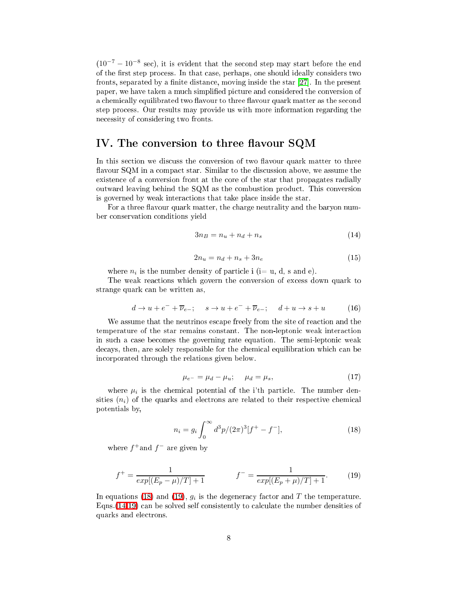$(10^{-7} - 10^{-8} \text{ sec})$ , it is evident that the second step may start before the end of the first step process. In that case, perhaps, one should ideally considers two fronts, separated by a finite distance, moving inside the star  $[27]$ . In the present paper, we have taken a mu
h simplied pi
ture and onsidered the onversion of a chemically equilibrated two flavour to three flavour quark matter as the second step pro
ess. Our results may provide us with more information regarding the ne
essity of onsidering two fronts.

# IV. The conversion to three flavour SQM

In this section we discuss the conversion of two flavour quark matter to three flavour SQM in a compact star. Similar to the discussion above, we assume the existen
e of a onversion front at the ore of the star that propagates radially outward leaving behind the SQM as the ombustion produ
t. This onversion is governed by weak intera
tions that take pla
e inside the star.

<span id="page-7-2"></span>For a three flavour quark matter, the charge neutrality and the baryon number onservation onditions yield

$$
3n_B = n_u + n_d + n_s \tag{14}
$$

$$
2n_u = n_d + n_s + 3n_e \tag{15}
$$

where  $n_i$  is the number density of particle i (i= u, d, s and e).

The weak reactions which govern the conversion of excess down quark to strange quark an be written as,

$$
d \to u + e^- + \overline{\nu}_{e-}; \quad s \to u + e^- + \overline{\nu}_{e-}; \quad d + u \to s + u \tag{16}
$$

We assume that the neutrinos escape freely from the site of reaction and the temperature of the star remains constant. The non-leptonic weak interaction in such a case becomes the governing rate equation. The semi-leptonic weak de
ays, then, are solely responsible for the hemi
al equilibration whi
h an be in
orporated through the relations given below.

$$
\mu_{e^{-}} = \mu_d - \mu_u; \quad \mu_d = \mu_s,
$$
\n(17)

where  $\mu_i$  is the chemical potential of the i'th particle. The number densities  $(n_i)$  of the quarks and electrons are related to their respective chemical potentials by,

$$
n_i = g_i \int_0^\infty d^3p/(2\pi)^3[f^+ - f^-], \tag{18}
$$

<span id="page-7-0"></span>where  $f^+$  and  $f^-$  are given by

$$
f^{+} = \frac{1}{exp[(E_p - \mu)/T] + 1} \qquad f^{-} = \frac{1}{exp[(E_p + \mu)/T] + 1}.
$$
 (19)

<span id="page-7-1"></span>In equations [\(18\)](#page-7-0) and [\(19\)](#page-7-1),  $g_i$  is the degeneracy factor and T the temperature. Eqns. [\(14](#page-7-2)[-19\)](#page-7-1) can be solved self consistently to calculate the number densities of quarks and ele
trons.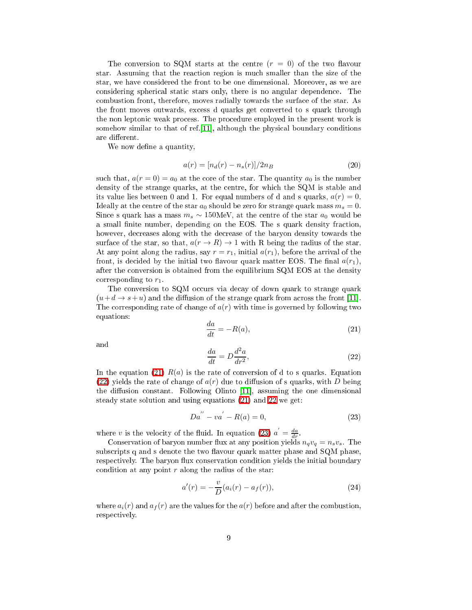The conversion to SQM starts at the centre  $(r = 0)$  of the two flavour star. Assuming that the rea
tion region is mu
h smaller than the size of the star, we have onsidered the front to be one dimensional. Moreover, as we are considering spherical static stars only, there is no angular dependence. The ombustion front, therefore, moves radially towards the surfa
e of the star. As the front moves outwards, ex
ess d quarks get onverted to s quark through the non leptonic weak process. The procedure employed in the present work is somehow similar to that of ref.  $[11]$ , although the physical boundary conditions are different.

We now define a quantity,

$$
a(r) = [n_d(r) - n_s(r)]/2n_B
$$
\n(20)

such that,  $a(r=0) = a_0$  at the core of the star. The quantity  $a_0$  is the number density of the strange quarks, at the centre, for which the SQM is stable and its value lies between 0 and 1. For equal numbers of d and s quarks,  $a(r) = 0$ . Ideally at the centre of the star  $a_0$  should be zero for strange quark mass  $m_s = 0$ . Since s quark has a mass  $m_s \sim 150$ MeV, at the centre of the star  $a_0$  would be a small finite number, depending on the EOS. The s quark density fraction, however, decreases along with the decrease of the baryon density towards the surface of the star, so that,  $a(r \to R) \to 1$  with R being the radius of the star. At any point along the radius, say  $r = r_1$ , initial  $a(r_1)$ , before the arrival of the front, is decided by the initial two flavour quark matter EOS. The final  $a(r_1)$ , after the onversion is obtained from the equilibrium SQM EOS at the density corresponding to  $r_1$ .

The conversion to SQM occurs via decay of down quark to strange quark  $(u+d \rightarrow s+u)$  and the diffusion of the strange quark from across the front [11]. The corresponding rate of change of  $a(r)$  with time is governed by following two equations:

<span id="page-8-0"></span>
$$
\frac{da}{dt} = -R(a),\tag{21}
$$

<span id="page-8-1"></span>and

$$
\frac{da}{dt} = D\frac{d^2a}{dr^2},\tag{22}
$$

In the equation [\(21\)](#page-8-0)  $R(a)$  is the rate of conversion of d to s quarks. Equation  $(22)$  yields the rate of change of  $a(r)$  due to diffusion of s quarks, with D being the diffusion constant. Following Olinto [11], assuming the one dimensional steady state solution and using equations [\(21\)](#page-8-0) and [22](#page-8-1) we get:

$$
Da'' - va' - R(a) = 0,
$$
\n(23)

<span id="page-8-2"></span>where v is the velocity of the fluid. In equation [\(23\)](#page-8-2)  $a' = \frac{da}{dr}$ .

Conservation of baryon number flux at any position yields  $n_qv_q = n_sv_s$ . The subscripts q and s denote the two flavour quark matter phase and SQM phase, respectively. The baryon flux conservation condition yields the initial boundary condition at any point  $r$  along the radius of the star:

$$
a'(r) = -\frac{v}{D}(a_i(r) - a_f(r)),
$$
\n(24)

where  $a_i(r)$  and  $a_f(r)$  are the values for the  $a(r)$  before and after the combustion, respe
tively.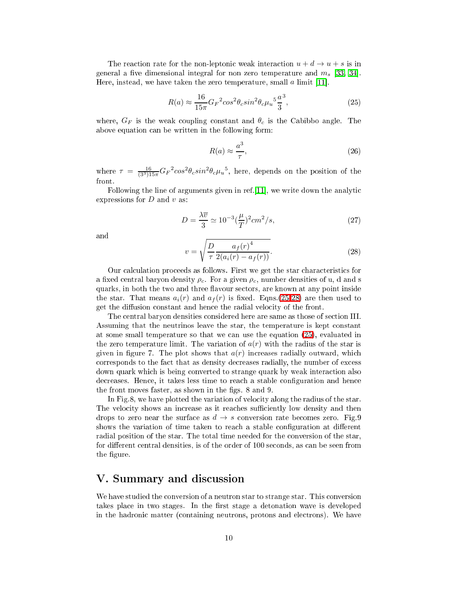<span id="page-9-0"></span>The reaction rate for the non-leptonic weak interaction  $u + d \rightarrow u + s$  is in general a five dimensional integral for non zero temperature and  $m_s$  [\[33,](#page-12-13) 34]. Here, instead, we have taken the zero temperature, small  $\alpha$  limit [11].

$$
R(a) \approx \frac{16}{15\pi} G_F{}^2 \cos^2 \theta_c \sin^2 \theta_c \mu_u{}^5 \frac{a^3}{3},\tag{25}
$$

where,  $G_F$  is the weak coupling constant and  $\theta_c$  is the Cabibbo angle. The above equation can be written in the following form:

$$
R(a) \approx \frac{a^3}{\tau},\tag{26}
$$

where  $\tau = \frac{16}{(3^3)^{15\pi}} G_F^2 \cos^2 \theta_c \sin^2 \theta_c \mu_u^5$ , here, depends on the position of the front.

Following the line of arguments given in ref.  $[11]$ , we write down the analytic expressions for  $D$  and  $v$  as:

$$
D = \frac{\lambda \overline{v}}{3} \simeq 10^{-3} \left(\frac{\mu}{T}\right)^2 \, cm^2/s,\tag{27}
$$

<span id="page-9-1"></span>and

$$
v = \sqrt{\frac{D}{\tau} \frac{a_f(r)^4}{2(a_i(r) - a_f(r))}}.
$$
 (28)

Our calculation proceeds as follows. First we get the star characteristics for a fixed central baryon density  $\rho_c$ . For a given  $\rho_c$ , number densities of u, d and s quarks, in both the two and three flavour sectors, are known at any point inside the star. That means  $a_i(r)$  and  $a_f(r)$  is fixed. Eqns.[\(25](#page-9-0)[-28\)](#page-9-1) are then used to get the diffusion constant and hence the radial velocity of the front.

The entral baryon densities onsidered here are same as those of se
tion III. Assuming that the neutrinos leave the star, the temperature is kept onstant at some small temperature so that we an use the equation [\(25\)](#page-9-0), evaluated in the zero temperature limit. The variation of  $a(r)$  with the radius of the star is given in figure 7. The plot shows that  $a(r)$  increases radially outward, which orresponds to the fa
t that as density de
reases radially, the number of ex
ess down quark which is being converted to strange quark by weak interaction also decreases. Hence, it takes less time to reach a stable configuration and hence the front moves faster, as shown in the figs. 8 and 9.

In Fig.8, we have plotted the variation of velocity along the radius of the star. The velocity shows an increase as it reaches sufficiently low density and then drops to zero near the surface as  $d \to s$  conversion rate becomes zero. Fig.9 shows the variation of time taken to reach a stable configuration at different radial position of the star. The total time needed for the conversion of the star, for different central densities, is of the order of 100 seconds, as can be seen from the figure.

# V. Summary and discussion

We have studied the conversion of a neutron star to strange star. This conversion takes place in two stages. In the first stage a detonation wave is developed in the hadronic matter (containing neutrons, protons and electrons). We have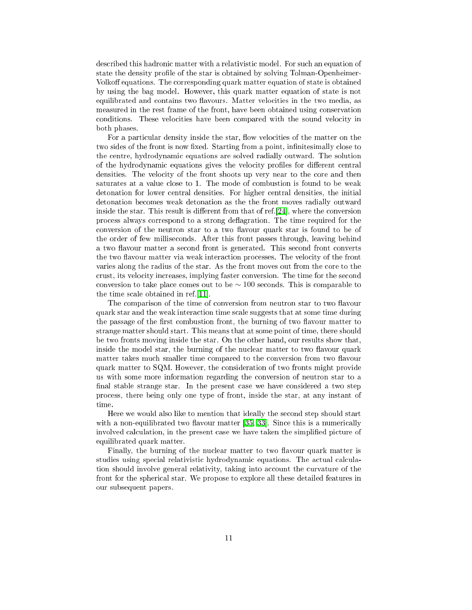described this hadronic matter with a relativistic model. For such an equation of state the density profile of the star is obtained by solving Tolman-Openheimer-Volkoff equations. The corresponding quark matter equation of state is obtained by using the bag model. However, this quark matter equation of state is not equilibrated and contains two flavours. Matter velocities in the two media, as measured in the rest frame of the front, have been obtained using conservation conditions. These velocities have been compared with the sound velocity in both phases.

For a particular density inside the star, flow velocities of the matter on the two sides of the front is now fixed. Starting from a point, infinitesimally close to the entre, hydrodynami equations are solved radially outward. The solution of the hydrodynamic equations gives the velocity profiles for different central densities. The velocity of the front shoots up very near to the core and then saturates at a value close to 1. The mode of combustion is found to be weak detonation for lower entral densities. For higher entral densities, the initial detonation be
omes weak detonation as the the front moves radially outward inside the star. This result is different from that of ref.  $[24]$ , where the conversion process always correspond to a strong deflagration. The time required for the conversion of the neutron star to a two flavour quark star is found to be of the order of few millise
onds. After this front passes through, leaving behind a two flavour matter a second front is generated. This second front converts the two flavour matter via weak interaction processes. The velocity of the front varies along the radius of the star. As the front moves out from the ore to the crust, its velocity increases, implying faster conversion. The time for the second conversion to take place comes out to be  $\sim 100$  seconds. This is comparable to the time scale obtained in ref.  $[11]$ .

The comparison of the time of conversion from neutron star to two flavour quark star and the weak interaction time scale suggests that at some time during the passage of the first combustion front, the burning of two flavour matter to strange matter should start. This means that at some point of time, there should be two fronts moving inside the star. On the other hand, our results show that, inside the model star, the burning of the nuclear matter to two flavour quark matter takes much smaller time compared to the conversion from two flavour quark matter to SQM. However, the onsideration of two fronts might provide us with some more information regarding the onversion of neutron star to a final stable strange star. In the present case we have considered a two step pro
ess, there being only one type of front, inside the star, at any instant of time.

Here we would also like to mention that ideally the se
ond step should start with a non-equilibrated two flavour matter  $[35, 33]$  $[35, 33]$ . Since this is a numerically involved calculation, in the present case we have taken the simplified picture of equilibrated quark matter.

Finally, the burning of the nuclear matter to two flavour quark matter is studies using special relativistic hydrodynamic equations. The actual calculation should involve general relativity, taking into account the curvature of the front for the spherical star. We propose to explore all these detailed features in our subsequent papers.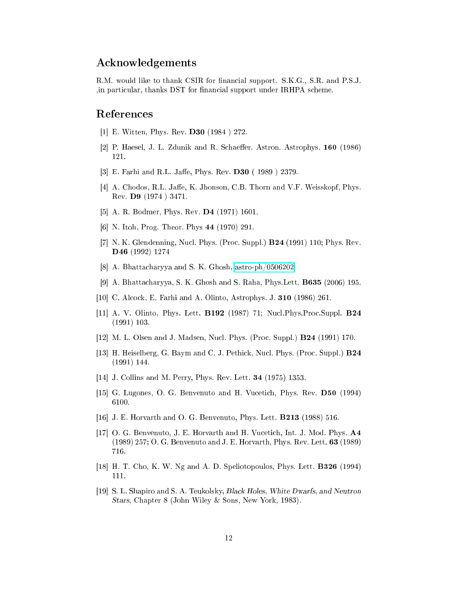# A
knowledgements

R.M. would like to thank CSIR for financial support. S.K.G., S.R. and P.S.J. , in particular, thanks DST for financial support under IRHPA scheme.

### <span id="page-11-0"></span>Referen
es

- <span id="page-11-1"></span>[1] E. Witten, Phys. Rev.  $\bf{D30}$  (1984 ) 272.
- <span id="page-11-2"></span>[2] P. Haesel, J. L. Zdunik and R. Schaeffer. Astron. Astrophys. 160 (1986) 121.
- <span id="page-11-3"></span>[3] E. Farhi and R.L. Jaffe, Phys. Rev. D30 (1989) 2379.
- [4] A. Chodos, R.L. Jaffe, K. Jhonson, C.B. Thorn and V.F. Weisskopf, Phys. Rev. D9 (1974 ) 3471.
- <span id="page-11-5"></span><span id="page-11-4"></span> $[5]$  A. R. Bodmer, Phys. Rev. D4  $(1971)$  1601.
- <span id="page-11-6"></span>[6] N. Itoh, Prog. Theor. Phys  $44$  (1970) 291.
- [7] N. K. Glendenning, Nucl. Phys. (Proc. Suppl.) **B24** (1991) 110; Phys. Rev. D46 (1992) 1274
- <span id="page-11-8"></span><span id="page-11-7"></span>[8] A. Bhattacharyya and S. K. Ghosh, [astro-ph/0506202.](http://arxiv.org/abs/astro-ph/0506202)
- [9] A. Bhattacharyya, S. K. Ghosh and S. Raha, Phys. Lett. **B635** (2006) 195.
- <span id="page-11-10"></span><span id="page-11-9"></span>[10] C. Alcock, E. Farhi and A. Olinto, Astrophys. J. 310 (1986) 261.
- [11] A. V. Olinto, Phys. Lett. **B192** (1987) 71; Nucl. Phys. Proc. Suppl. **B24** (1991) 103.
- <span id="page-11-12"></span><span id="page-11-11"></span>[12] M. L. Olsen and J. Madsen, Nucl. Phys. (Proc. Suppl.) **B24** (1991) 170.
- [13] H. Heiselberg, G. Baym and C. J. Pethick, Nucl. Phys. (Proc. Suppl.) B24 (1991) 144.
- <span id="page-11-14"></span><span id="page-11-13"></span>[14] J. Collins and M. Perry, Phys. Rev. Lett.  $34$  (1975) 1353.
- <span id="page-11-15"></span>[15] G. Lugones, O. G. Benvenuto and H. Vucetich, Phys. Rev. D50 (1994) 6100.
- <span id="page-11-16"></span>[16] J. E. Horvarth and O. G. Benvenuto, Phys. Lett.  $\bf{B213}$  (1988) 516.
- [17] O. G. Benvenuto, J. E. Horvarth and H. Vucetich, Int. J. Mod. Phys. A4 (1989) 257; O. G. Benvenuto and J. E. Horvarth, Phys. Rev. Lett. 63 (1989) 716.
- <span id="page-11-18"></span><span id="page-11-17"></span>[18] H. T. Cho, K. W. Ng and A. D. Speliotopoulos, Phys. Lett.  $\textbf{B326}$  (1994) 111.
- [19] S. L. Shapiro and S. A. Teukolsky, *Black Holes*, *White Dwarfs*, and Neutron Stars, Chapter 8 (John Wiley & Sons, New York, 1983).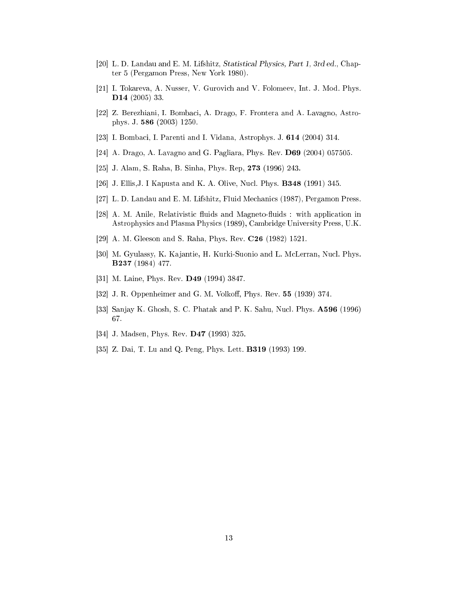- <span id="page-12-0"></span>[20] L. D. Landau and E. M. Lifshitz, Statistical Physics, Part 1, 3rd ed., Chapter 5 (Pergamon Press, New York 1980).
- <span id="page-12-1"></span>[21] I. Tokareva, A. Nusser, V. Gurovich and V. Folomeev, Int. J. Mod. Phys. D14 (2005) 33.
- <span id="page-12-2"></span>[22] Z. Berezhiani, I. Bombaci, A. Drago, F. Frontera and A. Lavagno, Astrophys. J. 586 (2003) 1250.
- <span id="page-12-4"></span><span id="page-12-3"></span>[23] I. Bombaci, I. Parenti and I. Vidana, Astrophys. J. 614 (2004) 314.
- <span id="page-12-5"></span>[24] A. Drago, A. Lavagno and G. Pagliara, Phys. Rev. D69 (2004) 057505.
- <span id="page-12-6"></span>[25] J. Alam, S. Raha, B. Sinha, Phys. Rep, 273 (1996) 243.
- <span id="page-12-7"></span>[26] J. Ellis, J. I Kapusta and K. A. Olive, Nucl. Phys.  $\bf{B348}$  (1991) 345.
- <span id="page-12-8"></span>[27] L. D. Landau and E. M. Lifshitz, Fluid Mechanics (1987), Pergamon Press.
- [28] A. M. Anile, Relativistic fluids and Magneto-fluids : with application in Astrophysi
s and Plasma Physi
s (1989), Cambridge University Press, U.K.
- <span id="page-12-10"></span><span id="page-12-9"></span>[29] A. M. Gleeson and S. Raha, Phys. Rev. C26 (1982) 1521.
- [30] M. Gyulassy, K. Kajantie, H. Kurki-Suonio and L. McLerran, Nucl. Phys. B237 (1984) 477.
- <span id="page-12-12"></span><span id="page-12-11"></span>[31] M. Laine, Phys. Rev. D49 (1994) 3847.
- <span id="page-12-13"></span>[32] J. R. Oppenheimer and G. M. Volkoff, Phys. Rev. 55 (1939) 374.
- [33] Sanjay K. Ghosh, S. C. Phatak and P. K. Sahu, Nucl. Phys. A596 (1996) 67.
- <span id="page-12-15"></span><span id="page-12-14"></span>[34] J. Madsen, Phys. Rev.  $D47$  (1993) 325.
- [35] Z. Dai, T. Lu and Q. Peng, Phys. Lett. **B319** (1993) 199.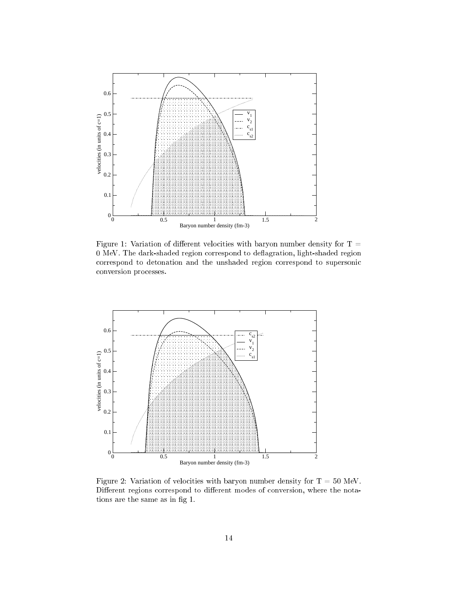

Figure 1: Variation of different velocities with baryon number density for  $T =$ 0 MeV. The dark-shaded region correspond to deflagration, light-shaded region orrespond to detonation and the unshaded region orrespond to supersoni onversion pro
esses.



Figure 2: Variation of velocities with baryon number density for  $T = 50$  MeV. Different regions correspond to different modes of conversion, where the notations are the same as in fig 1.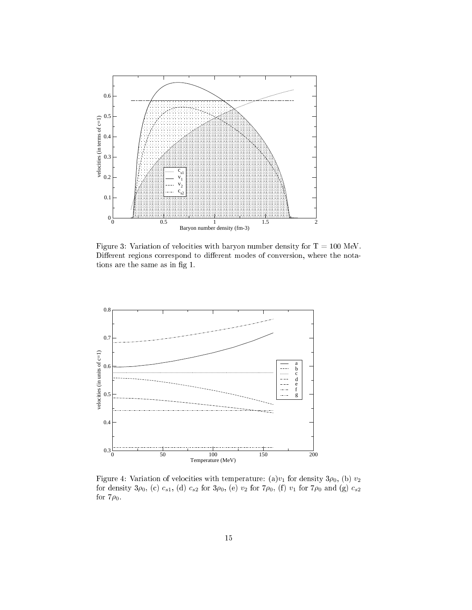

Figure 3: Variation of velocities with baryon number density for  $T = 100$  MeV. Different regions correspond to different modes of conversion, where the notations are the same as in fig 1.



Figure 4: Variation of velocities with temperature: (a) $v_1$  for density  $3\rho_0$ , (b)  $v_2$ for density  $3\rho_0$ , (c)  $c_{s1}$ , (d)  $c_{s2}$  for  $3\rho_0$ , (e)  $v_2$  for  $7\rho_0$ , (f)  $v_1$  for  $7\rho_0$  and (g)  $c_{s2}$ for  $7\rho_0$ .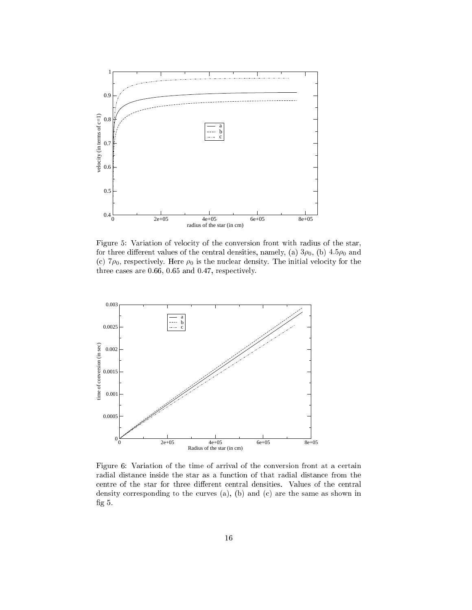

Figure 5: Variation of velocity of the conversion front with radius of the star, for three different values of the central densities, namely, (a)  $3\rho_0$ , (b)  $4.5\rho_0$  and (c)  $7\rho_0$ , respectively. Here  $\rho_0$  is the nuclear density. The initial velocity for the three cases are 0.66, 0.65 and 0.47, respectively.



Figure 6: Variation of the time of arrival of the conversion front at a certain radial distance inside the star as a function of that radial distance from the centre of the star for three different central densities. Values of the central density corresponding to the curves  $(a)$ ,  $(b)$  and  $(c)$  are the same as shown in fig  $5$ .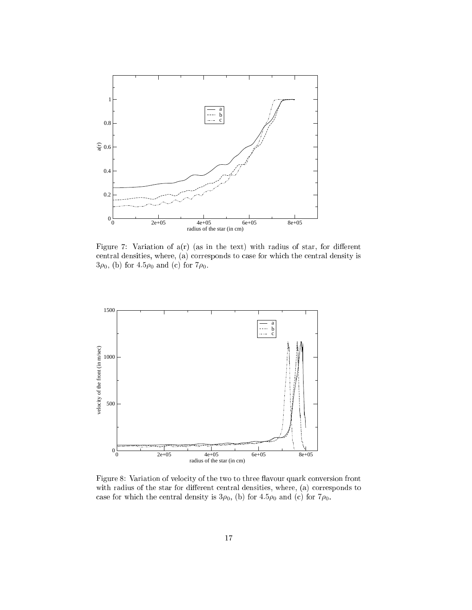

Figure 7: Variation of  $a(r)$  (as in the text) with radius of star, for different central densities, where, (a) corresponds to case for which the central density is  $3\rho_0$ , (b) for  $4.5\rho_0$  and (c) for  $7\rho_0$ .



Figure 8: Variation of velocity of the two to three flavour quark conversion front with radius of the star for different central densities, where, (a) corresponds to case for which the central density is  $3\rho_0$ , (b) for  $4.5\rho_0$  and (c) for  $7\rho_0$ .